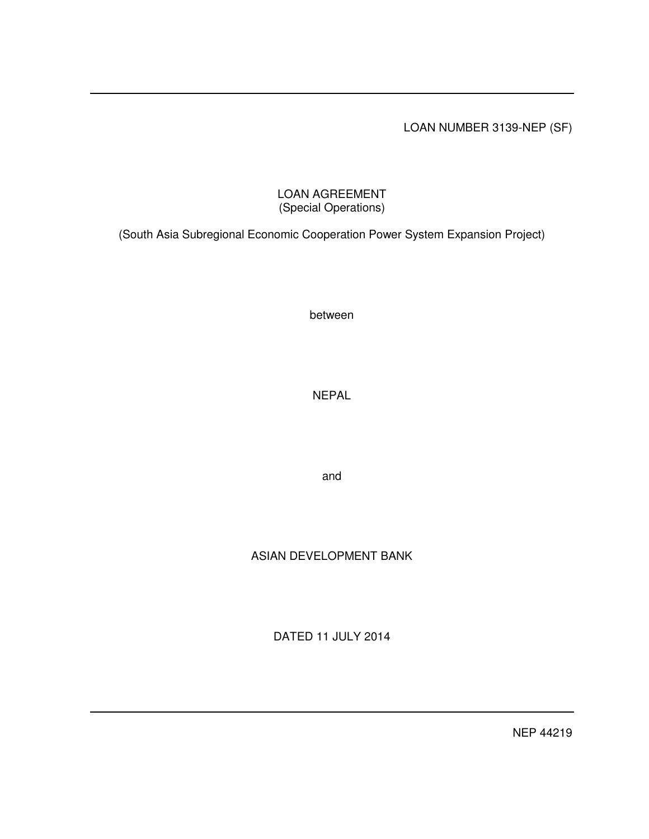## LOAN NUMBER 3139-NEP (SF)

## LOAN AGREEMENT (Special Operations)

(South Asia Subregional Economic Cooperation Power System Expansion Project)

between

NEPAL

and

# ASIAN DEVELOPMENT BANK

DATED 11 JULY 2014

NEP 44219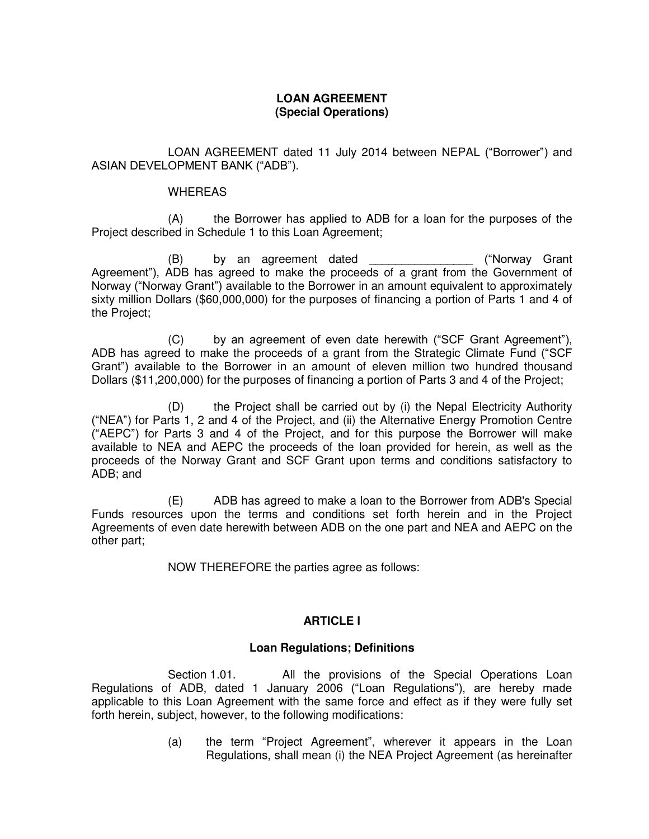### **LOAN AGREEMENT (Special Operations)**

LOAN AGREEMENT dated 11 July 2014 between NEPAL ("Borrower") and ASIAN DEVELOPMENT BANK ("ADB").

#### WHEREAS

(A) the Borrower has applied to ADB for a loan for the purposes of the Project described in Schedule 1 to this Loan Agreement;

(B) by an agreement dated example the comparation of the by an agreement dated the comparation of the comparation of the comparation of the comparation of the comparation of the comparation of the comparation of the compar Agreement"), ADB has agreed to make the proceeds of a grant from the Government of Norway ("Norway Grant") available to the Borrower in an amount equivalent to approximately sixty million Dollars (\$60,000,000) for the purposes of financing a portion of Parts 1 and 4 of the Project;

(C) by an agreement of even date herewith ("SCF Grant Agreement"), ADB has agreed to make the proceeds of a grant from the Strategic Climate Fund ("SCF Grant") available to the Borrower in an amount of eleven million two hundred thousand Dollars (\$11,200,000) for the purposes of financing a portion of Parts 3 and 4 of the Project;

(D) the Project shall be carried out by (i) the Nepal Electricity Authority ("NEA") for Parts 1, 2 and 4 of the Project, and (ii) the Alternative Energy Promotion Centre ("AEPC") for Parts 3 and 4 of the Project, and for this purpose the Borrower will make available to NEA and AEPC the proceeds of the loan provided for herein, as well as the proceeds of the Norway Grant and SCF Grant upon terms and conditions satisfactory to ADB; and

(E) ADB has agreed to make a loan to the Borrower from ADB's Special Funds resources upon the terms and conditions set forth herein and in the Project Agreements of even date herewith between ADB on the one part and NEA and AEPC on the other part;

NOW THEREFORE the parties agree as follows:

### **ARTICLE I**

### **Loan Regulations; Definitions**

Section 1.01. All the provisions of the Special Operations Loan Regulations of ADB, dated 1 January 2006 ("Loan Regulations"), are hereby made applicable to this Loan Agreement with the same force and effect as if they were fully set forth herein, subject, however, to the following modifications:

> (a) the term "Project Agreement", wherever it appears in the Loan Regulations, shall mean (i) the NEA Project Agreement (as hereinafter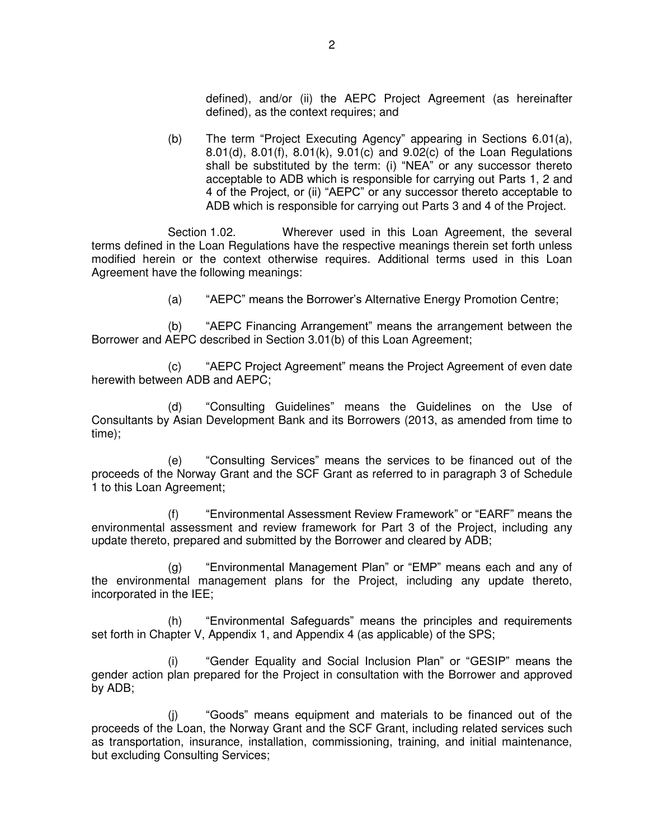defined), and/or (ii) the AEPC Project Agreement (as hereinafter defined), as the context requires; and

(b) The term "Project Executing Agency" appearing in Sections 6.01(a), 8.01(d), 8.01(f), 8.01(k), 9.01(c) and 9.02(c) of the Loan Regulations shall be substituted by the term: (i) "NEA" or any successor thereto acceptable to ADB which is responsible for carrying out Parts 1, 2 and 4 of the Project, or (ii) "AEPC" or any successor thereto acceptable to ADB which is responsible for carrying out Parts 3 and 4 of the Project.

Section 1.02. Wherever used in this Loan Agreement, the several terms defined in the Loan Regulations have the respective meanings therein set forth unless modified herein or the context otherwise requires. Additional terms used in this Loan Agreement have the following meanings:

(a) "AEPC" means the Borrower's Alternative Energy Promotion Centre;

(b) "AEPC Financing Arrangement" means the arrangement between the Borrower and AEPC described in Section 3.01(b) of this Loan Agreement;

(c) "AEPC Project Agreement" means the Project Agreement of even date herewith between ADB and AEPC:

(d) "Consulting Guidelines" means the Guidelines on the Use of Consultants by Asian Development Bank and its Borrowers (2013, as amended from time to time);

(e) "Consulting Services" means the services to be financed out of the proceeds of the Norway Grant and the SCF Grant as referred to in paragraph 3 of Schedule 1 to this Loan Agreement;

(f) "Environmental Assessment Review Framework" or "EARF" means the environmental assessment and review framework for Part 3 of the Project, including any update thereto, prepared and submitted by the Borrower and cleared by ADB;

(g) "Environmental Management Plan" or "EMP" means each and any of the environmental management plans for the Project, including any update thereto, incorporated in the IEE;

(h) "Environmental Safeguards" means the principles and requirements set forth in Chapter V, Appendix 1, and Appendix 4 (as applicable) of the SPS;

"Gender Equality and Social Inclusion Plan" or "GESIP" means the gender action plan prepared for the Project in consultation with the Borrower and approved by ADB;

(j) "Goods" means equipment and materials to be financed out of the proceeds of the Loan, the Norway Grant and the SCF Grant, including related services such as transportation, insurance, installation, commissioning, training, and initial maintenance, but excluding Consulting Services;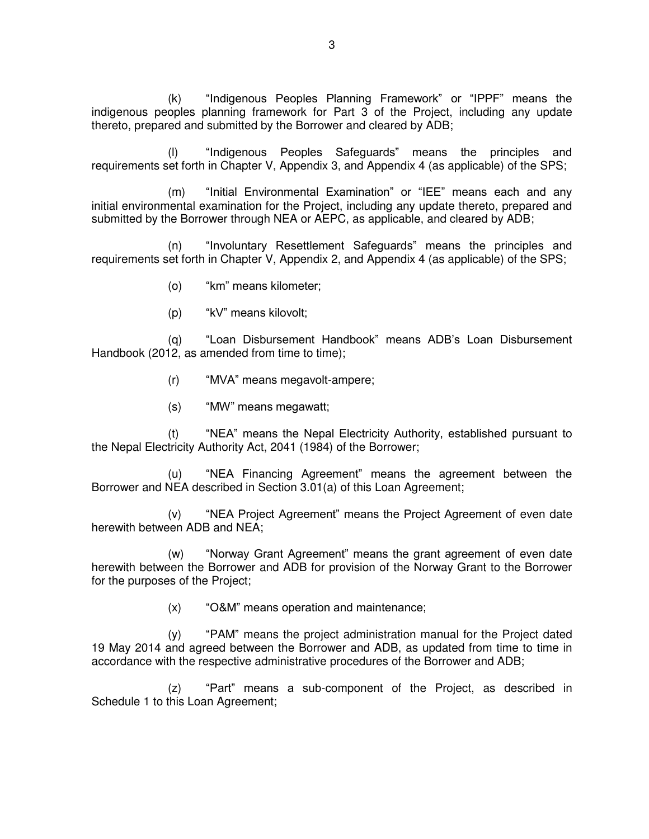(k) "Indigenous Peoples Planning Framework" or "IPPF" means the indigenous peoples planning framework for Part 3 of the Project, including any update thereto, prepared and submitted by the Borrower and cleared by ADB;

"Indigenous Peoples Safeguards" means the principles and requirements set forth in Chapter V, Appendix 3, and Appendix 4 (as applicable) of the SPS;

(m) "Initial Environmental Examination" or "IEE" means each and any initial environmental examination for the Project, including any update thereto, prepared and submitted by the Borrower through NEA or AEPC, as applicable, and cleared by ADB;

(n) "Involuntary Resettlement Safeguards" means the principles and requirements set forth in Chapter V, Appendix 2, and Appendix 4 (as applicable) of the SPS;

- (o) "km" means kilometer;
- (p) "kV" means kilovolt;

(q) "Loan Disbursement Handbook" means ADB's Loan Disbursement Handbook (2012, as amended from time to time);

- (r) "MVA" means megavolt-ampere;
- (s) "MW" means megawatt;

(t) "NEA" means the Nepal Electricity Authority, established pursuant to the Nepal Electricity Authority Act, 2041 (1984) of the Borrower;

(u) "NEA Financing Agreement" means the agreement between the Borrower and NEA described in Section 3.01(a) of this Loan Agreement;

(v) "NEA Project Agreement" means the Project Agreement of even date herewith between ADB and NEA;

(w) "Norway Grant Agreement" means the grant agreement of even date herewith between the Borrower and ADB for provision of the Norway Grant to the Borrower for the purposes of the Project;

(x) "O&M" means operation and maintenance;

(y) "PAM" means the project administration manual for the Project dated 19 May 2014 and agreed between the Borrower and ADB, as updated from time to time in accordance with the respective administrative procedures of the Borrower and ADB;

(z) "Part" means a sub-component of the Project, as described in Schedule 1 to this Loan Agreement;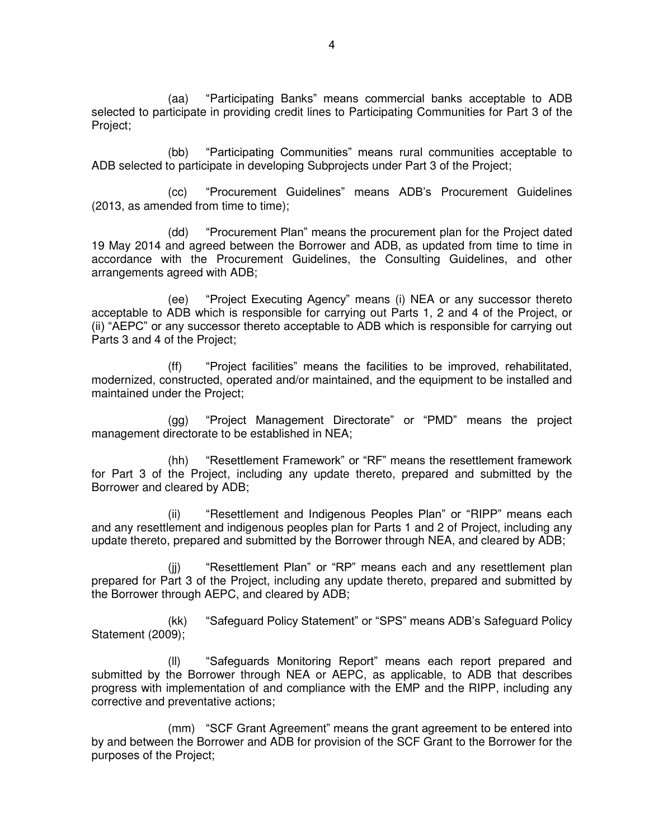(aa) "Participating Banks" means commercial banks acceptable to ADB selected to participate in providing credit lines to Participating Communities for Part 3 of the Project;

(bb) "Participating Communities" means rural communities acceptable to ADB selected to participate in developing Subprojects under Part 3 of the Project;

(cc) "Procurement Guidelines" means ADB's Procurement Guidelines (2013, as amended from time to time);

(dd) "Procurement Plan" means the procurement plan for the Project dated 19 May 2014 and agreed between the Borrower and ADB, as updated from time to time in accordance with the Procurement Guidelines, the Consulting Guidelines, and other arrangements agreed with ADB;

(ee) "Project Executing Agency" means (i) NEA or any successor thereto acceptable to ADB which is responsible for carrying out Parts 1, 2 and 4 of the Project, or (ii) "AEPC" or any successor thereto acceptable to ADB which is responsible for carrying out Parts 3 and 4 of the Project;

(ff) "Project facilities" means the facilities to be improved, rehabilitated, modernized, constructed, operated and/or maintained, and the equipment to be installed and maintained under the Project;

(gg) "Project Management Directorate" or "PMD" means the project management directorate to be established in NEA;

(hh) "Resettlement Framework" or "RF" means the resettlement framework for Part 3 of the Project, including any update thereto, prepared and submitted by the Borrower and cleared by ADB;

(ii) "Resettlement and Indigenous Peoples Plan" or "RIPP" means each and any resettlement and indigenous peoples plan for Parts 1 and 2 of Project, including any update thereto, prepared and submitted by the Borrower through NEA, and cleared by ADB;

(ii) "Resettlement Plan" or "RP" means each and any resettlement plan prepared for Part 3 of the Project, including any update thereto, prepared and submitted by the Borrower through AEPC, and cleared by ADB;

(kk) "Safeguard Policy Statement" or "SPS" means ADB's Safeguard Policy Statement (2009);

(ll) "Safeguards Monitoring Report" means each report prepared and submitted by the Borrower through NEA or AEPC, as applicable, to ADB that describes progress with implementation of and compliance with the EMP and the RIPP, including any corrective and preventative actions;

(mm) "SCF Grant Agreement" means the grant agreement to be entered into by and between the Borrower and ADB for provision of the SCF Grant to the Borrower for the purposes of the Project;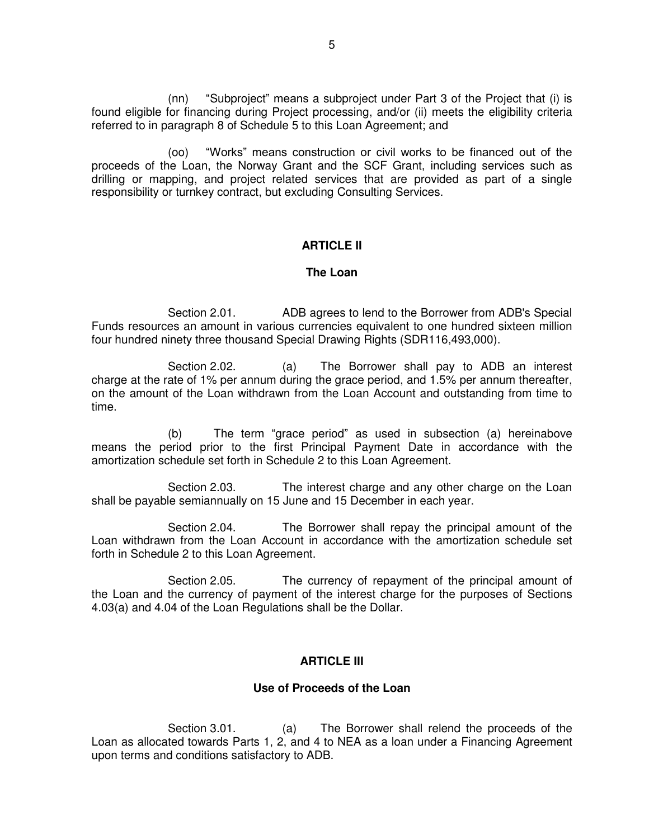(nn) "Subproject" means a subproject under Part 3 of the Project that (i) is found eligible for financing during Project processing, and/or (ii) meets the eligibility criteria referred to in paragraph 8 of Schedule 5 to this Loan Agreement; and

(oo) "Works" means construction or civil works to be financed out of the proceeds of the Loan, the Norway Grant and the SCF Grant, including services such as drilling or mapping, and project related services that are provided as part of a single responsibility or turnkey contract, but excluding Consulting Services.

### **ARTICLE II**

#### **The Loan**

Section 2.01. ADB agrees to lend to the Borrower from ADB's Special Funds resources an amount in various currencies equivalent to one hundred sixteen million four hundred ninety three thousand Special Drawing Rights (SDR116,493,000).

Section 2.02. (a) The Borrower shall pay to ADB an interest charge at the rate of 1% per annum during the grace period, and 1.5% per annum thereafter, on the amount of the Loan withdrawn from the Loan Account and outstanding from time to time.

(b) The term "grace period" as used in subsection (a) hereinabove means the period prior to the first Principal Payment Date in accordance with the amortization schedule set forth in Schedule 2 to this Loan Agreement.

Section 2.03. The interest charge and any other charge on the Loan shall be payable semiannually on 15 June and 15 December in each year.

Section 2.04. The Borrower shall repay the principal amount of the Loan withdrawn from the Loan Account in accordance with the amortization schedule set forth in Schedule 2 to this Loan Agreement.

Section 2.05. The currency of repayment of the principal amount of the Loan and the currency of payment of the interest charge for the purposes of Sections 4.03(a) and 4.04 of the Loan Regulations shall be the Dollar.

#### **ARTICLE III**

#### **Use of Proceeds of the Loan**

Section 3.01. (a) The Borrower shall relend the proceeds of the Loan as allocated towards Parts 1, 2, and 4 to NEA as a loan under a Financing Agreement upon terms and conditions satisfactory to ADB.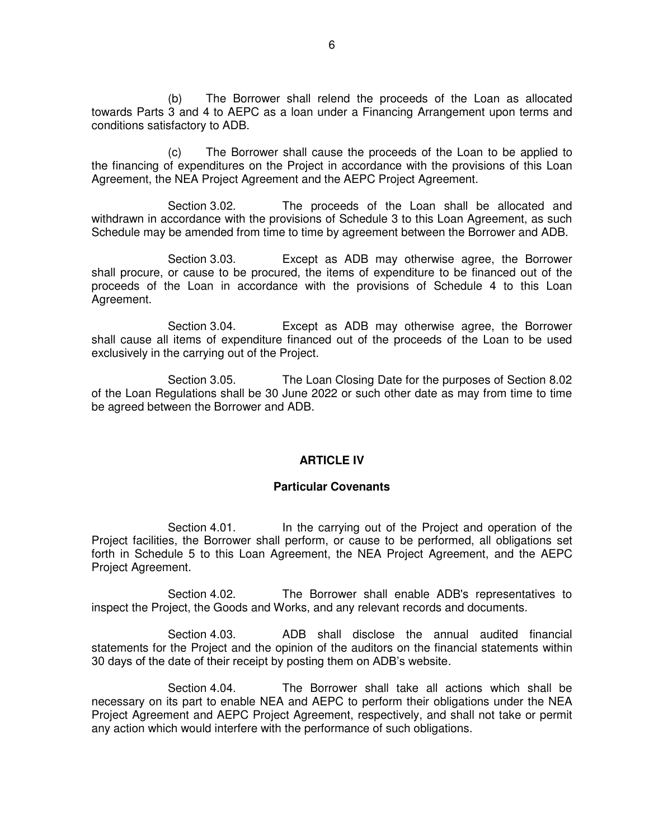(b) The Borrower shall relend the proceeds of the Loan as allocated towards Parts 3 and 4 to AEPC as a loan under a Financing Arrangement upon terms and conditions satisfactory to ADB.

(c) The Borrower shall cause the proceeds of the Loan to be applied to the financing of expenditures on the Project in accordance with the provisions of this Loan Agreement, the NEA Project Agreement and the AEPC Project Agreement.

Section 3.02. The proceeds of the Loan shall be allocated and withdrawn in accordance with the provisions of Schedule 3 to this Loan Agreement, as such Schedule may be amended from time to time by agreement between the Borrower and ADB.

Section 3.03. Except as ADB may otherwise agree, the Borrower shall procure, or cause to be procured, the items of expenditure to be financed out of the proceeds of the Loan in accordance with the provisions of Schedule 4 to this Loan Agreement.

Section 3.04. Except as ADB may otherwise agree, the Borrower shall cause all items of expenditure financed out of the proceeds of the Loan to be used exclusively in the carrying out of the Project.

Section 3.05. The Loan Closing Date for the purposes of Section 8.02 of the Loan Regulations shall be 30 June 2022 or such other date as may from time to time be agreed between the Borrower and ADB.

#### **ARTICLE IV**

#### **Particular Covenants**

Section 4.01. In the carrying out of the Project and operation of the Project facilities, the Borrower shall perform, or cause to be performed, all obligations set forth in Schedule 5 to this Loan Agreement, the NEA Project Agreement, and the AEPC Project Agreement.

Section 4.02. The Borrower shall enable ADB's representatives to inspect the Project, the Goods and Works, and any relevant records and documents.

Section 4.03. ADB shall disclose the annual audited financial statements for the Project and the opinion of the auditors on the financial statements within 30 days of the date of their receipt by posting them on ADB's website.

Section 4.04. The Borrower shall take all actions which shall be necessary on its part to enable NEA and AEPC to perform their obligations under the NEA Project Agreement and AEPC Project Agreement, respectively, and shall not take or permit any action which would interfere with the performance of such obligations.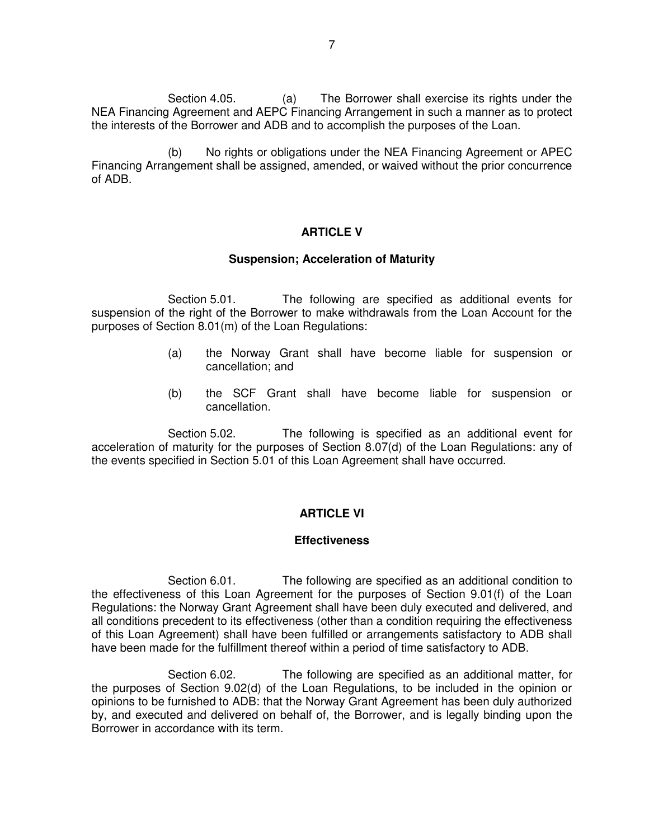Section 4.05. (a) The Borrower shall exercise its rights under the NEA Financing Agreement and AEPC Financing Arrangement in such a manner as to protect the interests of the Borrower and ADB and to accomplish the purposes of the Loan.

(b) No rights or obligations under the NEA Financing Agreement or APEC Financing Arrangement shall be assigned, amended, or waived without the prior concurrence of ADB.

#### **ARTICLE V**

#### **Suspension; Acceleration of Maturity**

Section 5.01. The following are specified as additional events for suspension of the right of the Borrower to make withdrawals from the Loan Account for the purposes of Section 8.01(m) of the Loan Regulations:

- (a) the Norway Grant shall have become liable for suspension or cancellation; and
- (b) the SCF Grant shall have become liable for suspension or cancellation.

Section 5.02. The following is specified as an additional event for acceleration of maturity for the purposes of Section 8.07(d) of the Loan Regulations: any of the events specified in Section 5.01 of this Loan Agreement shall have occurred.

#### **ARTICLE VI**

#### **Effectiveness**

Section 6.01. The following are specified as an additional condition to the effectiveness of this Loan Agreement for the purposes of Section 9.01(f) of the Loan Regulations: the Norway Grant Agreement shall have been duly executed and delivered, and all conditions precedent to its effectiveness (other than a condition requiring the effectiveness of this Loan Agreement) shall have been fulfilled or arrangements satisfactory to ADB shall have been made for the fulfillment thereof within a period of time satisfactory to ADB.

Section 6.02. The following are specified as an additional matter, for the purposes of Section 9.02(d) of the Loan Regulations, to be included in the opinion or opinions to be furnished to ADB: that the Norway Grant Agreement has been duly authorized by, and executed and delivered on behalf of, the Borrower, and is legally binding upon the Borrower in accordance with its term.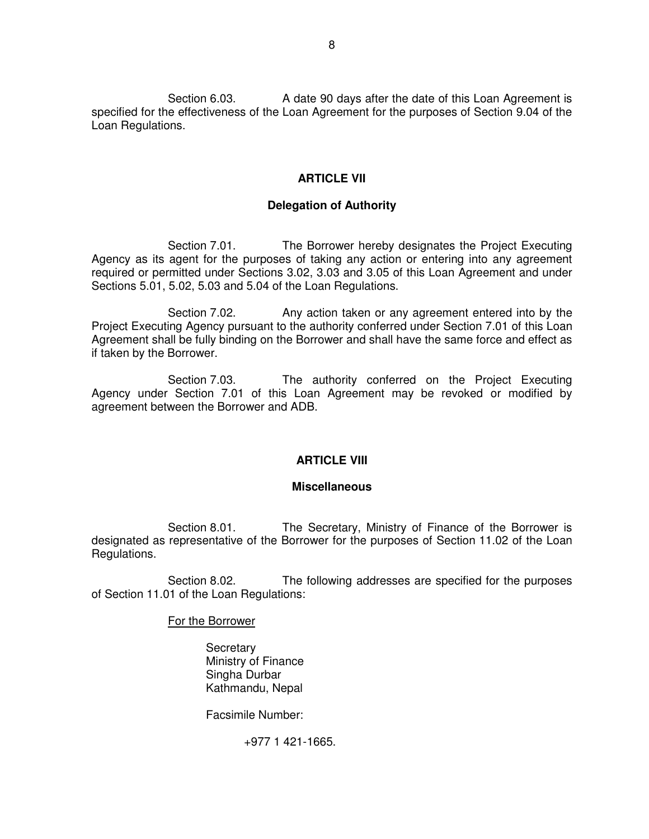Section 6.03. A date 90 days after the date of this Loan Agreement is specified for the effectiveness of the Loan Agreement for the purposes of Section 9.04 of the Loan Regulations.

#### **ARTICLE VII**

### **Delegation of Authority**

Section 7.01. The Borrower hereby designates the Project Executing Agency as its agent for the purposes of taking any action or entering into any agreement required or permitted under Sections 3.02, 3.03 and 3.05 of this Loan Agreement and under Sections 5.01, 5.02, 5.03 and 5.04 of the Loan Regulations.

Section 7.02. Any action taken or any agreement entered into by the Project Executing Agency pursuant to the authority conferred under Section 7.01 of this Loan Agreement shall be fully binding on the Borrower and shall have the same force and effect as if taken by the Borrower.

Section 7.03. The authority conferred on the Project Executing Agency under Section 7.01 of this Loan Agreement may be revoked or modified by agreement between the Borrower and ADB.

#### **ARTICLE VIII**

#### **Miscellaneous**

 Section 8.01. The Secretary, Ministry of Finance of the Borrower is designated as representative of the Borrower for the purposes of Section 11.02 of the Loan Regulations.

Section 8.02. The following addresses are specified for the purposes of Section 11.01 of the Loan Regulations:

For the Borrower

**Secretary**  Ministry of Finance Singha Durbar Kathmandu, Nepal

Facsimile Number:

+977 1 421-1665.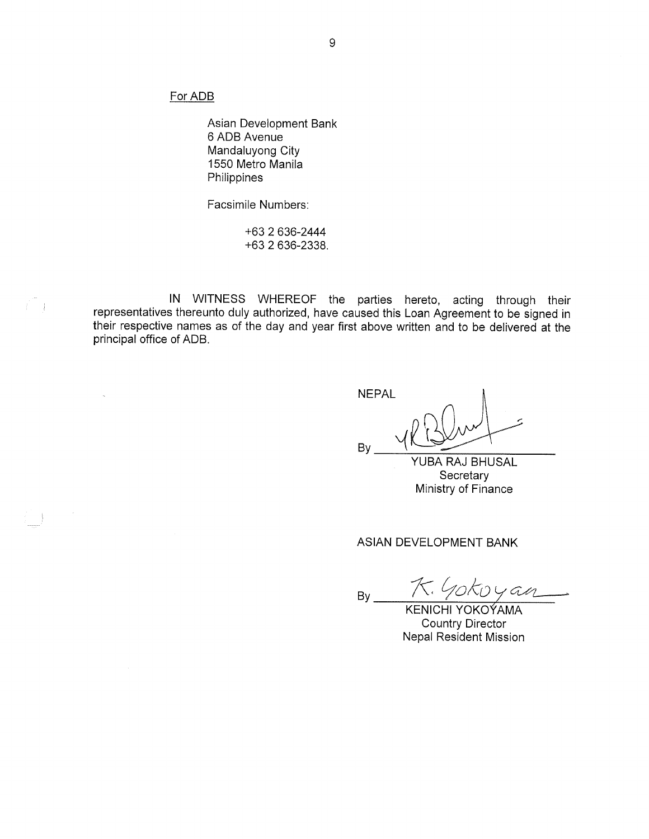For ADB

 $\hat{\mathcal{C}}$  ).

Asian Development Bank 6 ADB Avenue Mandaluyong City 1550 Metro Manila Philippines

Facsimile Numbers:

+63 2 636-2444 +63 2 636-2338.

IN WITNESS WHEREOF the parties hereto, acting through their representatives thereunto duly authorized, have caused this Loan Agreement to be signed in their respective names as of the day and year first above written and to be delivered at the principal office of ADB.

**NEPAL** Bv

YUBA RAJ BHUSAL Secretary Ministry of Finance

ASIAN DEVELOPMENT BANK

つべつし 1 AM  $By_$ 

**KENICHI YOKOÝAMA Country Director Nepal Resident Mission**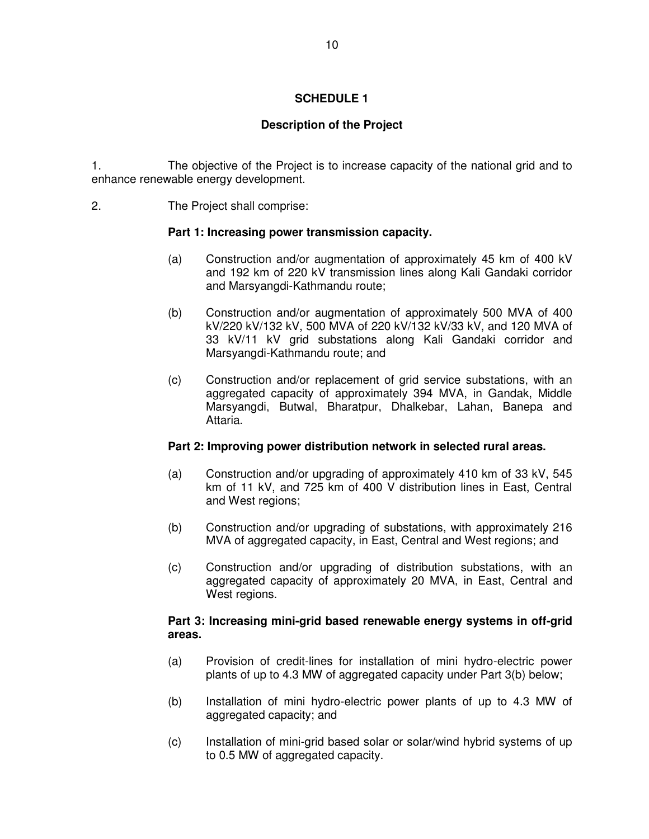## **SCHEDULE 1**

## **Description of the Project**

1. The objective of the Project is to increase capacity of the national grid and to enhance renewable energy development.

2. The Project shall comprise:

### **Part 1: Increasing power transmission capacity.**

- (a) Construction and/or augmentation of approximately 45 km of 400 kV and 192 km of 220 kV transmission lines along Kali Gandaki corridor and Marsyangdi-Kathmandu route;
- (b) Construction and/or augmentation of approximately 500 MVA of 400 kV/220 kV/132 kV, 500 MVA of 220 kV/132 kV/33 kV, and 120 MVA of 33 kV/11 kV grid substations along Kali Gandaki corridor and Marsyangdi-Kathmandu route; and
- (c) Construction and/or replacement of grid service substations, with an aggregated capacity of approximately 394 MVA, in Gandak, Middle Marsyangdi, Butwal, Bharatpur, Dhalkebar, Lahan, Banepa and Attaria.

### **Part 2: Improving power distribution network in selected rural areas.**

- (a) Construction and/or upgrading of approximately 410 km of 33 kV, 545 km of 11 kV, and 725 km of 400 V distribution lines in East, Central and West regions;
- (b) Construction and/or upgrading of substations, with approximately 216 MVA of aggregated capacity, in East, Central and West regions; and
- (c) Construction and/or upgrading of distribution substations, with an aggregated capacity of approximately 20 MVA, in East, Central and West regions.

### **Part 3: Increasing mini-grid based renewable energy systems in off-grid areas.**

- (a) Provision of credit-lines for installation of mini hydro-electric power plants of up to 4.3 MW of aggregated capacity under Part 3(b) below;
- (b) Installation of mini hydro-electric power plants of up to 4.3 MW of aggregated capacity; and
- (c) Installation of mini-grid based solar or solar/wind hybrid systems of up to 0.5 MW of aggregated capacity.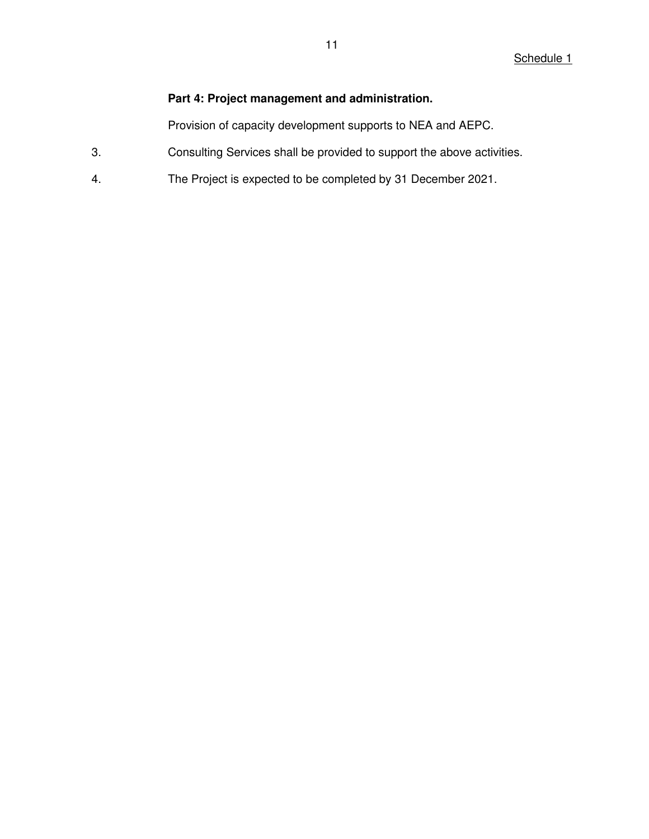## **Part 4: Project management and administration.**

Provision of capacity development supports to NEA and AEPC.

- 3. Consulting Services shall be provided to support the above activities.
- 4. The Project is expected to be completed by 31 December 2021.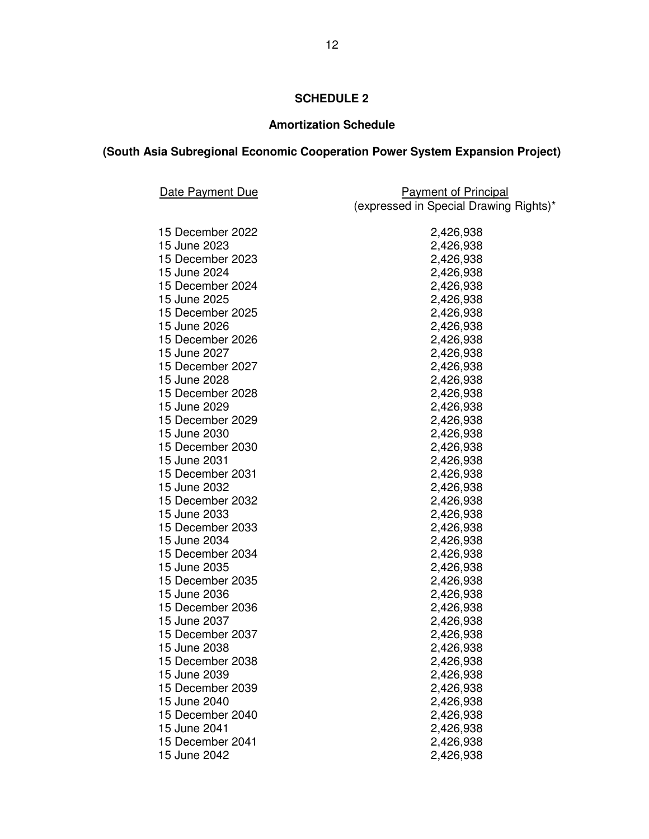# **SCHEDULE 2**

# **Amortization Schedule**

# **(South Asia Subregional Economic Cooperation Power System Expansion Project)**

| Date Payment Due                 | <b>Payment of Principal</b>            |  |
|----------------------------------|----------------------------------------|--|
|                                  | (expressed in Special Drawing Rights)* |  |
|                                  |                                        |  |
| 15 December 2022<br>15 June 2023 | 2,426,938                              |  |
|                                  | 2,426,938                              |  |
| 15 December 2023                 | 2,426,938                              |  |
| 15 June 2024                     | 2,426,938                              |  |
| 15 December 2024                 | 2,426,938                              |  |
| 15 June 2025                     | 2,426,938                              |  |
| 15 December 2025                 | 2,426,938                              |  |
| 15 June 2026                     | 2,426,938                              |  |
| 15 December 2026                 | 2,426,938                              |  |
| 15 June 2027                     | 2,426,938                              |  |
| 15 December 2027                 | 2,426,938                              |  |
| 15 June 2028                     | 2,426,938                              |  |
| 15 December 2028                 | 2,426,938                              |  |
| 15 June 2029                     | 2,426,938                              |  |
| 15 December 2029                 | 2,426,938                              |  |
| 15 June 2030                     | 2,426,938                              |  |
| 15 December 2030                 | 2,426,938                              |  |
| 15 June 2031                     | 2,426,938                              |  |
| 15 December 2031                 | 2,426,938                              |  |
| 15 June 2032                     | 2,426,938                              |  |
| 15 December 2032                 | 2,426,938                              |  |
| 15 June 2033                     | 2,426,938                              |  |
| 15 December 2033                 | 2,426,938                              |  |
| 15 June 2034                     | 2,426,938                              |  |
| 15 December 2034                 | 2,426,938                              |  |
| 15 June 2035                     | 2,426,938                              |  |
| 15 December 2035                 | 2,426,938                              |  |
| 15 June 2036                     | 2,426,938                              |  |
| 15 December 2036                 | 2,426,938                              |  |
| 15 June 2037                     | 2,426,938                              |  |
| 15 December 2037                 | 2,426,938                              |  |
| 15 June 2038                     | 2,426,938                              |  |
| 15 December 2038                 | 2,426,938                              |  |
| 15 June 2039                     | 2,426,938                              |  |
| 15 December 2039                 | 2,426,938                              |  |
| 15 June 2040                     | 2,426,938                              |  |
| 15 December 2040                 | 2,426,938                              |  |
| 15 June 2041                     | 2,426,938                              |  |
| 15 December 2041                 | 2,426,938                              |  |
| 15 June 2042                     | 2,426,938                              |  |
|                                  |                                        |  |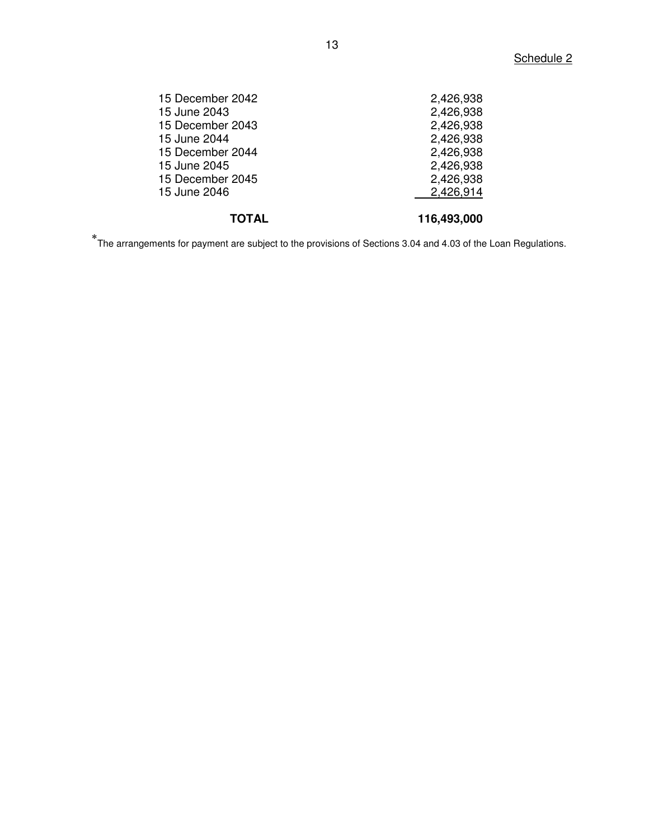| 15 December 2042 | 2,426,938   |
|------------------|-------------|
| 15 June 2043     | 2,426,938   |
| 15 December 2043 | 2,426,938   |
| 15 June 2044     | 2,426,938   |
| 15 December 2044 | 2,426,938   |
| 15 June 2045     | 2,426,938   |
| 15 December 2045 | 2,426,938   |
| 15 June 2046     | 2,426,914   |
| TOTAL            | 116,493,000 |

The arrangements for payment are subject to the provisions of Sections 3.04 and 4.03 of the Loan Regulations.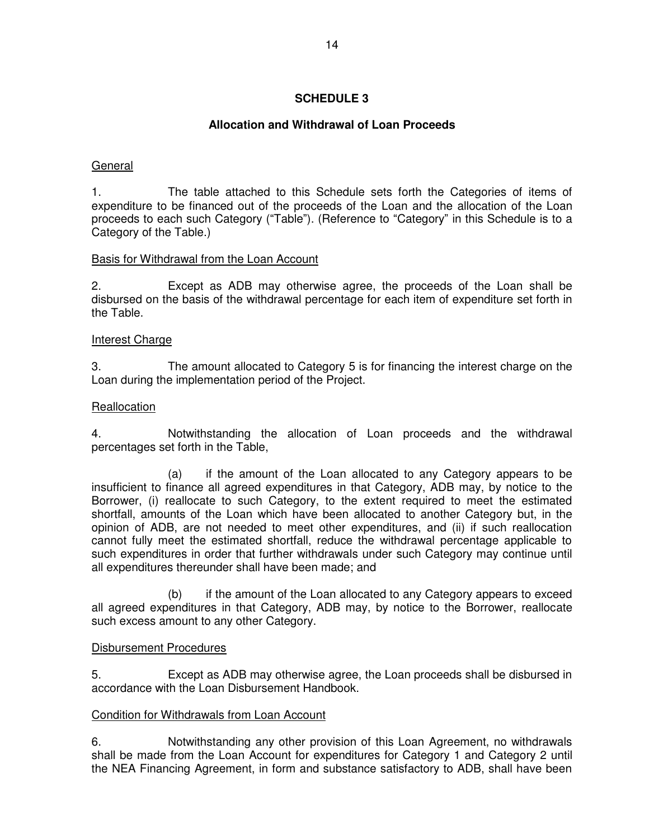## **SCHEDULE 3**

## **Allocation and Withdrawal of Loan Proceeds**

### General

1. The table attached to this Schedule sets forth the Categories of items of expenditure to be financed out of the proceeds of the Loan and the allocation of the Loan proceeds to each such Category ("Table"). (Reference to "Category" in this Schedule is to a Category of the Table.)

### Basis for Withdrawal from the Loan Account

2. Except as ADB may otherwise agree, the proceeds of the Loan shall be disbursed on the basis of the withdrawal percentage for each item of expenditure set forth in the Table.

#### Interest Charge

3. The amount allocated to Category 5 is for financing the interest charge on the Loan during the implementation period of the Project.

### **Reallocation**

4. Notwithstanding the allocation of Loan proceeds and the withdrawal percentages set forth in the Table,

 (a) if the amount of the Loan allocated to any Category appears to be insufficient to finance all agreed expenditures in that Category, ADB may, by notice to the Borrower, (i) reallocate to such Category, to the extent required to meet the estimated shortfall, amounts of the Loan which have been allocated to another Category but, in the opinion of ADB, are not needed to meet other expenditures, and (ii) if such reallocation cannot fully meet the estimated shortfall, reduce the withdrawal percentage applicable to such expenditures in order that further withdrawals under such Category may continue until all expenditures thereunder shall have been made; and

 (b) if the amount of the Loan allocated to any Category appears to exceed all agreed expenditures in that Category, ADB may, by notice to the Borrower, reallocate such excess amount to any other Category.

#### Disbursement Procedures

5. Except as ADB may otherwise agree, the Loan proceeds shall be disbursed in accordance with the Loan Disbursement Handbook.

#### Condition for Withdrawals from Loan Account

6. Notwithstanding any other provision of this Loan Agreement, no withdrawals shall be made from the Loan Account for expenditures for Category 1 and Category 2 until the NEA Financing Agreement, in form and substance satisfactory to ADB, shall have been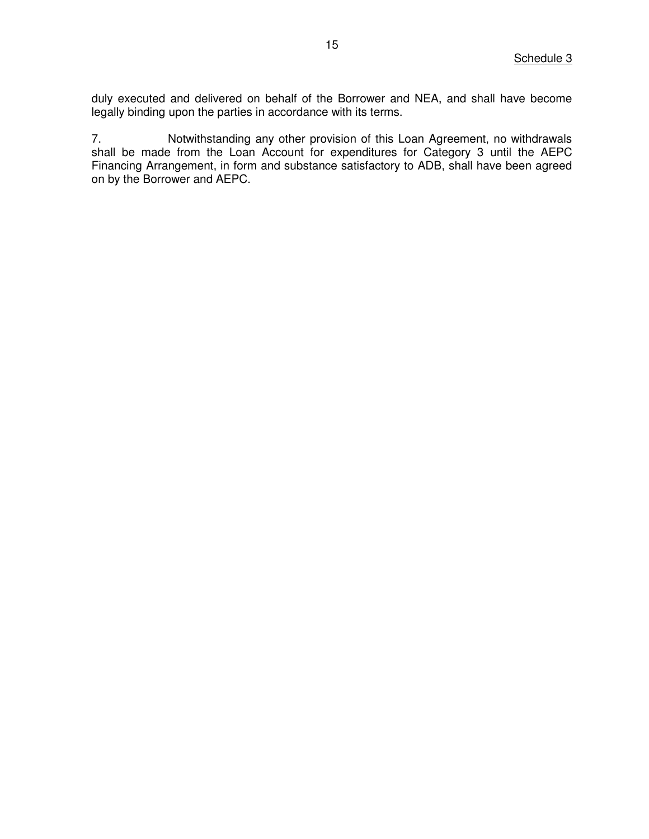duly executed and delivered on behalf of the Borrower and NEA, and shall have become legally binding upon the parties in accordance with its terms.

7. Notwithstanding any other provision of this Loan Agreement, no withdrawals shall be made from the Loan Account for expenditures for Category 3 until the AEPC Financing Arrangement, in form and substance satisfactory to ADB, shall have been agreed on by the Borrower and AEPC.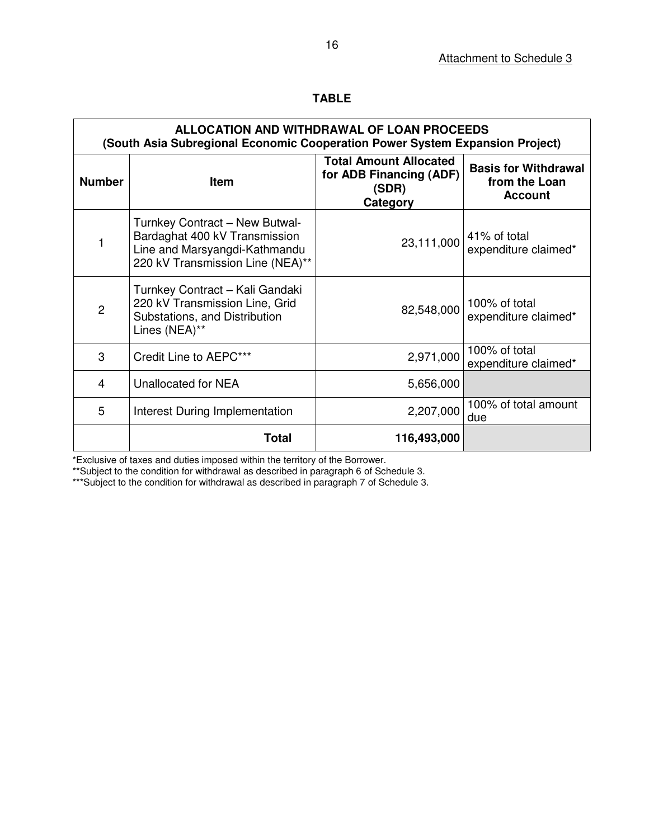| ALLOCATION AND WITHDRAWAL OF LOAN PROCEEDS<br>(South Asia Subregional Economic Cooperation Power System Expansion Project) |                                                                                                                                      |                                                                               |                                                                |  |  |  |
|----------------------------------------------------------------------------------------------------------------------------|--------------------------------------------------------------------------------------------------------------------------------------|-------------------------------------------------------------------------------|----------------------------------------------------------------|--|--|--|
| <b>Number</b>                                                                                                              | <b>Item</b>                                                                                                                          | <b>Total Amount Allocated</b><br>for ADB Financing (ADF)<br>(SDR)<br>Category | <b>Basis for Withdrawal</b><br>from the Loan<br><b>Account</b> |  |  |  |
| 1                                                                                                                          | Turnkey Contract - New Butwal-<br>Bardaghat 400 kV Transmission<br>Line and Marsyangdi-Kathmandu<br>220 kV Transmission Line (NEA)** | 23,111,000                                                                    | 41% of total<br>expenditure claimed*                           |  |  |  |
| $\overline{2}$                                                                                                             | Turnkey Contract - Kali Gandaki<br>220 kV Transmission Line, Grid<br>Substations, and Distribution<br>Lines (NEA)**                  | 82,548,000                                                                    | 100% of total<br>expenditure claimed*                          |  |  |  |
| 3                                                                                                                          | Credit Line to AEPC***                                                                                                               | 2,971,000                                                                     | 100% of total<br>expenditure claimed*                          |  |  |  |
| 4                                                                                                                          | Unallocated for NEA                                                                                                                  | 5,656,000                                                                     |                                                                |  |  |  |
| 5                                                                                                                          | Interest During Implementation                                                                                                       | 2,207,000                                                                     | 100% of total amount<br>due                                    |  |  |  |
|                                                                                                                            | Total                                                                                                                                | 116,493,000                                                                   |                                                                |  |  |  |

\*Exclusive of taxes and duties imposed within the territory of the Borrower.

\*\*Subject to the condition for withdrawal as described in paragraph 6 of Schedule 3.

\*\*\*Subject to the condition for withdrawal as described in paragraph 7 of Schedule 3.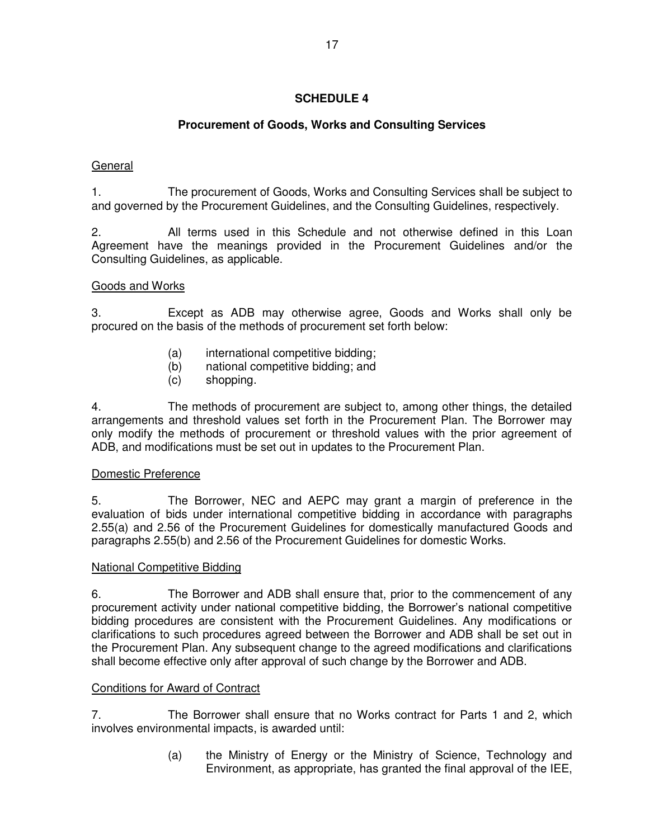# **SCHEDULE 4**

# **Procurement of Goods, Works and Consulting Services**

## General

1. The procurement of Goods, Works and Consulting Services shall be subject to and governed by the Procurement Guidelines, and the Consulting Guidelines, respectively.

2. All terms used in this Schedule and not otherwise defined in this Loan Agreement have the meanings provided in the Procurement Guidelines and/or the Consulting Guidelines, as applicable.

### Goods and Works

3. Except as ADB may otherwise agree, Goods and Works shall only be procured on the basis of the methods of procurement set forth below:

- (a) international competitive bidding;
- (b) national competitive bidding; and
- (c) shopping.

4. The methods of procurement are subject to, among other things, the detailed arrangements and threshold values set forth in the Procurement Plan. The Borrower may only modify the methods of procurement or threshold values with the prior agreement of ADB, and modifications must be set out in updates to the Procurement Plan.

### Domestic Preference

5. The Borrower, NEC and AEPC may grant a margin of preference in the evaluation of bids under international competitive bidding in accordance with paragraphs 2.55(a) and 2.56 of the Procurement Guidelines for domestically manufactured Goods and paragraphs 2.55(b) and 2.56 of the Procurement Guidelines for domestic Works.

### National Competitive Bidding

6. The Borrower and ADB shall ensure that, prior to the commencement of any procurement activity under national competitive bidding, the Borrower's national competitive bidding procedures are consistent with the Procurement Guidelines. Any modifications or clarifications to such procedures agreed between the Borrower and ADB shall be set out in the Procurement Plan. Any subsequent change to the agreed modifications and clarifications shall become effective only after approval of such change by the Borrower and ADB.

#### Conditions for Award of Contract

7. The Borrower shall ensure that no Works contract for Parts 1 and 2, which involves environmental impacts, is awarded until:

> (a) the Ministry of Energy or the Ministry of Science, Technology and Environment, as appropriate, has granted the final approval of the IEE,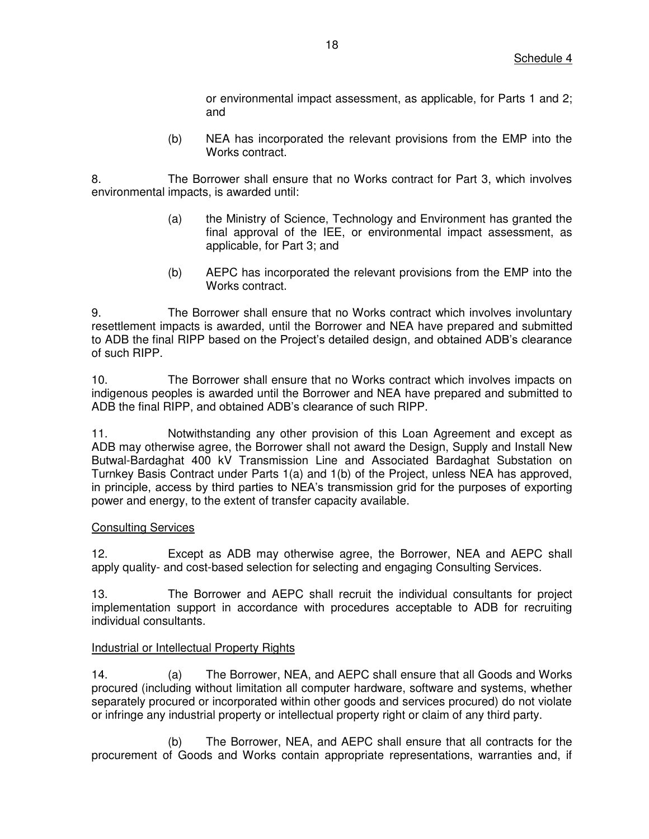or environmental impact assessment, as applicable, for Parts 1 and 2; and

(b) NEA has incorporated the relevant provisions from the EMP into the Works contract.

8. The Borrower shall ensure that no Works contract for Part 3, which involves environmental impacts, is awarded until:

- (a) the Ministry of Science, Technology and Environment has granted the final approval of the IEE, or environmental impact assessment, as applicable, for Part 3; and
- (b) AEPC has incorporated the relevant provisions from the EMP into the Works contract.

9. The Borrower shall ensure that no Works contract which involves involuntary resettlement impacts is awarded, until the Borrower and NEA have prepared and submitted to ADB the final RIPP based on the Project's detailed design, and obtained ADB's clearance of such RIPP.

10. The Borrower shall ensure that no Works contract which involves impacts on indigenous peoples is awarded until the Borrower and NEA have prepared and submitted to ADB the final RIPP, and obtained ADB's clearance of such RIPP.

11. Notwithstanding any other provision of this Loan Agreement and except as ADB may otherwise agree, the Borrower shall not award the Design, Supply and Install New Butwal-Bardaghat 400 kV Transmission Line and Associated Bardaghat Substation on Turnkey Basis Contract under Parts 1(a) and 1(b) of the Project, unless NEA has approved, in principle, access by third parties to NEA's transmission grid for the purposes of exporting power and energy, to the extent of transfer capacity available.

### Consulting Services

12. Except as ADB may otherwise agree, the Borrower, NEA and AEPC shall apply quality- and cost-based selection for selecting and engaging Consulting Services.

13. The Borrower and AEPC shall recruit the individual consultants for project implementation support in accordance with procedures acceptable to ADB for recruiting individual consultants.

#### Industrial or Intellectual Property Rights

14. (a) The Borrower, NEA, and AEPC shall ensure that all Goods and Works procured (including without limitation all computer hardware, software and systems, whether separately procured or incorporated within other goods and services procured) do not violate or infringe any industrial property or intellectual property right or claim of any third party.

(b) The Borrower, NEA, and AEPC shall ensure that all contracts for the procurement of Goods and Works contain appropriate representations, warranties and, if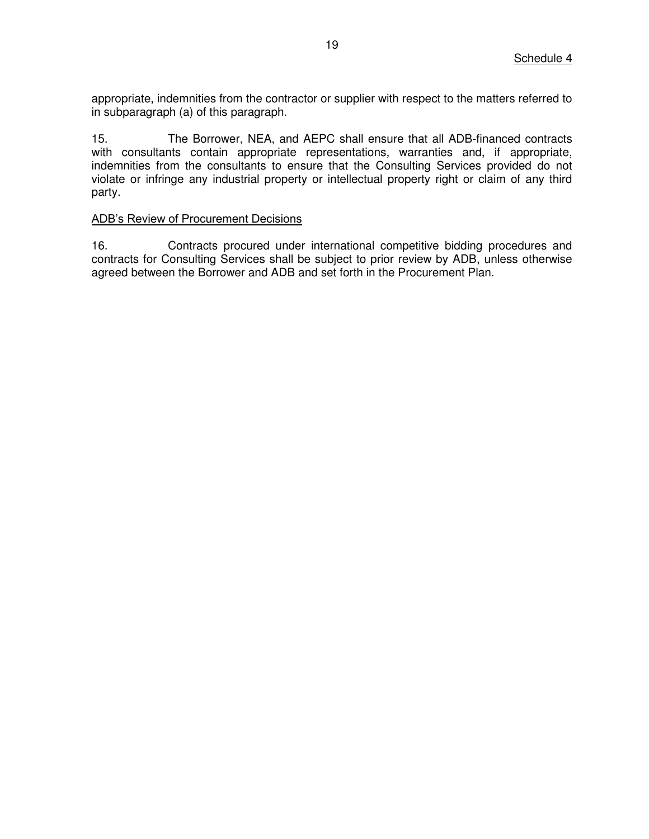appropriate, indemnities from the contractor or supplier with respect to the matters referred to in subparagraph (a) of this paragraph.

15. The Borrower, NEA, and AEPC shall ensure that all ADB-financed contracts with consultants contain appropriate representations, warranties and, if appropriate, indemnities from the consultants to ensure that the Consulting Services provided do not violate or infringe any industrial property or intellectual property right or claim of any third party.

#### ADB's Review of Procurement Decisions

16. Contracts procured under international competitive bidding procedures and contracts for Consulting Services shall be subject to prior review by ADB, unless otherwise agreed between the Borrower and ADB and set forth in the Procurement Plan.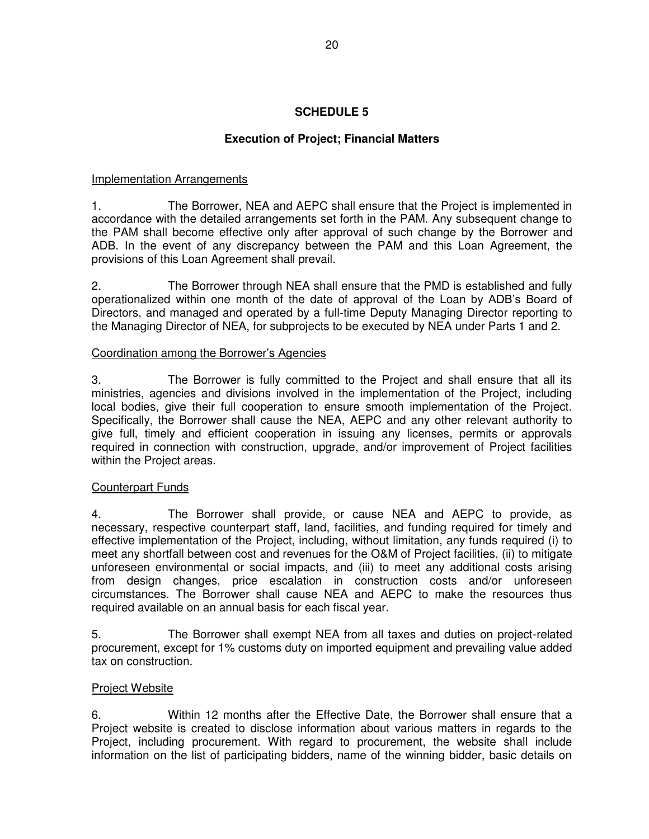# **SCHEDULE 5**

# **Execution of Project; Financial Matters**

## Implementation Arrangements

1. The Borrower, NEA and AEPC shall ensure that the Project is implemented in accordance with the detailed arrangements set forth in the PAM. Any subsequent change to the PAM shall become effective only after approval of such change by the Borrower and ADB. In the event of any discrepancy between the PAM and this Loan Agreement, the provisions of this Loan Agreement shall prevail.

2. The Borrower through NEA shall ensure that the PMD is established and fully operationalized within one month of the date of approval of the Loan by ADB's Board of Directors, and managed and operated by a full-time Deputy Managing Director reporting to the Managing Director of NEA, for subprojects to be executed by NEA under Parts 1 and 2.

### Coordination among the Borrower's Agencies

3. The Borrower is fully committed to the Project and shall ensure that all its ministries, agencies and divisions involved in the implementation of the Project, including local bodies, give their full cooperation to ensure smooth implementation of the Project. Specifically, the Borrower shall cause the NEA, AEPC and any other relevant authority to give full, timely and efficient cooperation in issuing any licenses, permits or approvals required in connection with construction, upgrade, and/or improvement of Project facilities within the Project areas.

### Counterpart Funds

4. The Borrower shall provide, or cause NEA and AEPC to provide, as necessary, respective counterpart staff, land, facilities, and funding required for timely and effective implementation of the Project, including, without limitation, any funds required (i) to meet any shortfall between cost and revenues for the O&M of Project facilities, (ii) to mitigate unforeseen environmental or social impacts, and (iii) to meet any additional costs arising from design changes, price escalation in construction costs and/or unforeseen circumstances. The Borrower shall cause NEA and AEPC to make the resources thus required available on an annual basis for each fiscal year.

5. The Borrower shall exempt NEA from all taxes and duties on project-related procurement, except for 1% customs duty on imported equipment and prevailing value added tax on construction.

### Project Website

6. Within 12 months after the Effective Date, the Borrower shall ensure that a Project website is created to disclose information about various matters in regards to the Project, including procurement. With regard to procurement, the website shall include information on the list of participating bidders, name of the winning bidder, basic details on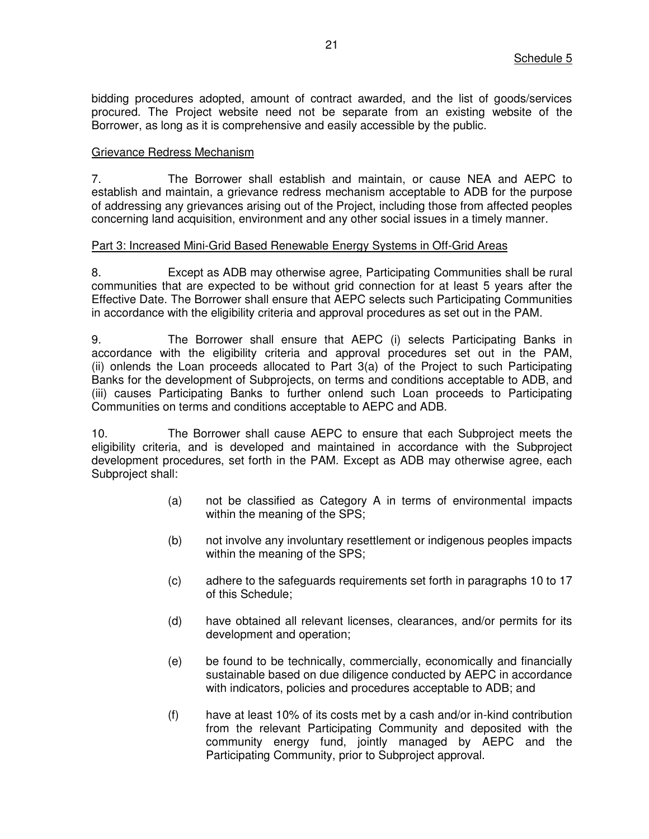bidding procedures adopted, amount of contract awarded, and the list of goods/services procured. The Project website need not be separate from an existing website of the Borrower, as long as it is comprehensive and easily accessible by the public.

#### Grievance Redress Mechanism

7. The Borrower shall establish and maintain, or cause NEA and AEPC to establish and maintain, a grievance redress mechanism acceptable to ADB for the purpose of addressing any grievances arising out of the Project, including those from affected peoples concerning land acquisition, environment and any other social issues in a timely manner.

#### Part 3: Increased Mini-Grid Based Renewable Energy Systems in Off-Grid Areas

8. Except as ADB may otherwise agree, Participating Communities shall be rural communities that are expected to be without grid connection for at least 5 years after the Effective Date. The Borrower shall ensure that AEPC selects such Participating Communities in accordance with the eligibility criteria and approval procedures as set out in the PAM.

9. The Borrower shall ensure that AEPC (i) selects Participating Banks in accordance with the eligibility criteria and approval procedures set out in the PAM, (ii) onlends the Loan proceeds allocated to Part 3(a) of the Project to such Participating Banks for the development of Subprojects, on terms and conditions acceptable to ADB, and (iii) causes Participating Banks to further onlend such Loan proceeds to Participating Communities on terms and conditions acceptable to AEPC and ADB.

10. The Borrower shall cause AEPC to ensure that each Subproject meets the eligibility criteria, and is developed and maintained in accordance with the Subproject development procedures, set forth in the PAM. Except as ADB may otherwise agree, each Subproject shall:

- (a) not be classified as Category A in terms of environmental impacts within the meaning of the SPS;
- (b) not involve any involuntary resettlement or indigenous peoples impacts within the meaning of the SPS;
- (c) adhere to the safeguards requirements set forth in paragraphs 10 to 17 of this Schedule;
- (d) have obtained all relevant licenses, clearances, and/or permits for its development and operation;
- (e) be found to be technically, commercially, economically and financially sustainable based on due diligence conducted by AEPC in accordance with indicators, policies and procedures acceptable to ADB; and
- (f) have at least 10% of its costs met by a cash and/or in-kind contribution from the relevant Participating Community and deposited with the community energy fund, jointly managed by AEPC and the Participating Community, prior to Subproject approval.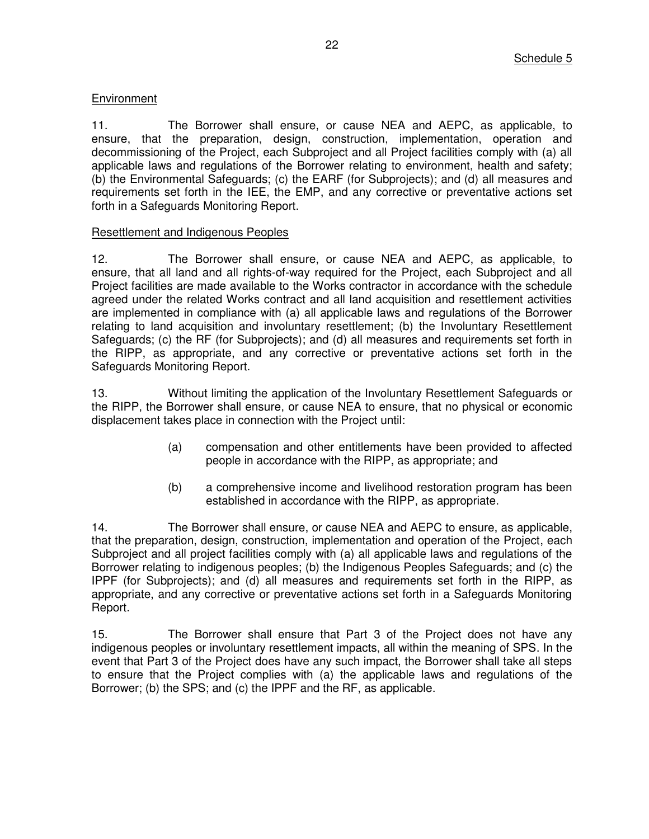## **Environment**

11. The Borrower shall ensure, or cause NEA and AEPC, as applicable, to ensure, that the preparation, design, construction, implementation, operation and decommissioning of the Project, each Subproject and all Project facilities comply with (a) all applicable laws and regulations of the Borrower relating to environment, health and safety; (b) the Environmental Safeguards; (c) the EARF (for Subprojects); and (d) all measures and requirements set forth in the IEE, the EMP, and any corrective or preventative actions set forth in a Safeguards Monitoring Report.

### Resettlement and Indigenous Peoples

12. The Borrower shall ensure, or cause NEA and AEPC, as applicable, to ensure, that all land and all rights-of-way required for the Project, each Subproject and all Project facilities are made available to the Works contractor in accordance with the schedule agreed under the related Works contract and all land acquisition and resettlement activities are implemented in compliance with (a) all applicable laws and regulations of the Borrower relating to land acquisition and involuntary resettlement; (b) the Involuntary Resettlement Safeguards; (c) the RF (for Subprojects); and (d) all measures and requirements set forth in the RIPP, as appropriate, and any corrective or preventative actions set forth in the Safeguards Monitoring Report.

13. Without limiting the application of the Involuntary Resettlement Safeguards or the RIPP, the Borrower shall ensure, or cause NEA to ensure, that no physical or economic displacement takes place in connection with the Project until:

- (a) compensation and other entitlements have been provided to affected people in accordance with the RIPP, as appropriate; and
- (b) a comprehensive income and livelihood restoration program has been established in accordance with the RIPP, as appropriate.

14. The Borrower shall ensure, or cause NEA and AEPC to ensure, as applicable, that the preparation, design, construction, implementation and operation of the Project, each Subproject and all project facilities comply with (a) all applicable laws and regulations of the Borrower relating to indigenous peoples; (b) the Indigenous Peoples Safeguards; and (c) the IPPF (for Subprojects); and (d) all measures and requirements set forth in the RIPP, as appropriate, and any corrective or preventative actions set forth in a Safeguards Monitoring Report.

15. The Borrower shall ensure that Part 3 of the Project does not have any indigenous peoples or involuntary resettlement impacts, all within the meaning of SPS. In the event that Part 3 of the Project does have any such impact, the Borrower shall take all steps to ensure that the Project complies with (a) the applicable laws and regulations of the Borrower; (b) the SPS; and (c) the IPPF and the RF, as applicable.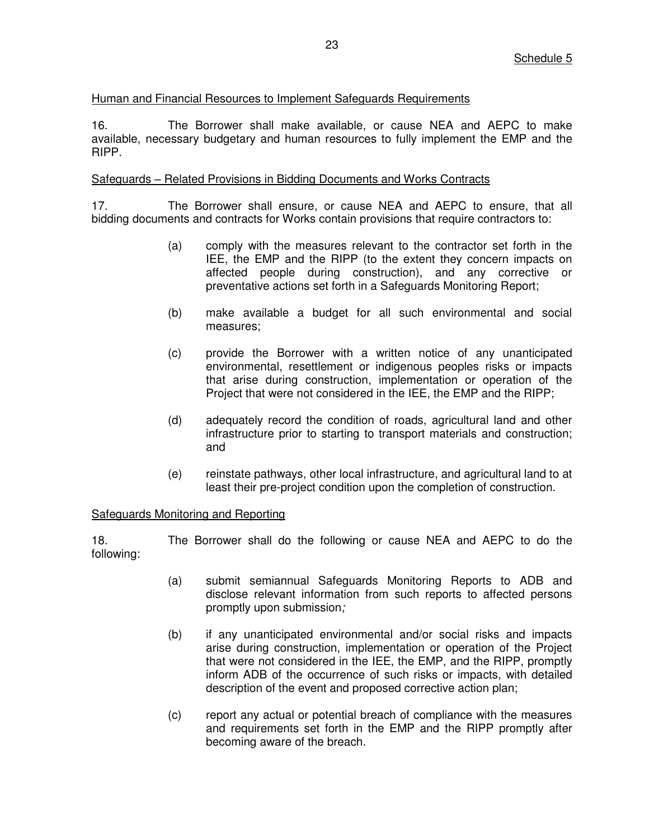### Human and Financial Resources to Implement Safeguards Requirements

16. The Borrower shall make available, or cause NEA and AEPC to make available, necessary budgetary and human resources to fully implement the EMP and the RIPP.

#### Safeguards – Related Provisions in Bidding Documents and Works Contracts

17. The Borrower shall ensure, or cause NEA and AEPC to ensure, that all bidding documents and contracts for Works contain provisions that require contractors to:

- (a) comply with the measures relevant to the contractor set forth in the IEE, the EMP and the RIPP (to the extent they concern impacts on affected people during construction), and any corrective or preventative actions set forth in a Safeguards Monitoring Report;
- (b) make available a budget for all such environmental and social measures;
- (c) provide the Borrower with a written notice of any unanticipated environmental, resettlement or indigenous peoples risks or impacts that arise during construction, implementation or operation of the Project that were not considered in the IEE, the EMP and the RIPP;
- (d) adequately record the condition of roads, agricultural land and other infrastructure prior to starting to transport materials and construction; and
- (e) reinstate pathways, other local infrastructure, and agricultural land to at least their pre-project condition upon the completion of construction.

#### Safeguards Monitoring and Reporting

18. The Borrower shall do the following or cause NEA and AEPC to do the following:

- (a) submit semiannual Safeguards Monitoring Reports to ADB and disclose relevant information from such reports to affected persons promptly upon submission*;*
- (b) if any unanticipated environmental and/or social risks and impacts arise during construction, implementation or operation of the Project that were not considered in the IEE, the EMP, and the RIPP, promptly inform ADB of the occurrence of such risks or impacts, with detailed description of the event and proposed corrective action plan;
- (c) report any actual or potential breach of compliance with the measures and requirements set forth in the EMP and the RIPP promptly after becoming aware of the breach.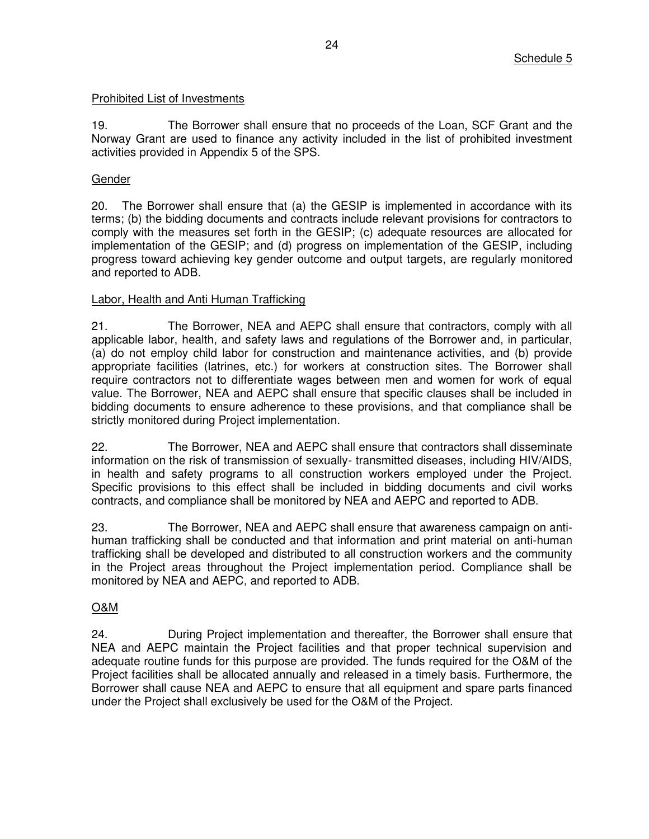### Prohibited List of Investments

19. The Borrower shall ensure that no proceeds of the Loan, SCF Grant and the Norway Grant are used to finance any activity included in the list of prohibited investment activities provided in Appendix 5 of the SPS.

### Gender

20. The Borrower shall ensure that (a) the GESIP is implemented in accordance with its terms; (b) the bidding documents and contracts include relevant provisions for contractors to comply with the measures set forth in the GESIP; (c) adequate resources are allocated for implementation of the GESIP; and (d) progress on implementation of the GESIP, including progress toward achieving key gender outcome and output targets, are regularly monitored and reported to ADB.

### Labor, Health and Anti Human Trafficking

21. The Borrower, NEA and AEPC shall ensure that contractors, comply with all applicable labor, health, and safety laws and regulations of the Borrower and, in particular, (a) do not employ child labor for construction and maintenance activities, and (b) provide appropriate facilities (latrines, etc.) for workers at construction sites. The Borrower shall require contractors not to differentiate wages between men and women for work of equal value. The Borrower, NEA and AEPC shall ensure that specific clauses shall be included in bidding documents to ensure adherence to these provisions, and that compliance shall be strictly monitored during Project implementation.

22. The Borrower, NEA and AEPC shall ensure that contractors shall disseminate information on the risk of transmission of sexually- transmitted diseases, including HIV/AIDS, in health and safety programs to all construction workers employed under the Project. Specific provisions to this effect shall be included in bidding documents and civil works contracts, and compliance shall be monitored by NEA and AEPC and reported to ADB.

23. The Borrower, NEA and AEPC shall ensure that awareness campaign on antihuman trafficking shall be conducted and that information and print material on anti-human trafficking shall be developed and distributed to all construction workers and the community in the Project areas throughout the Project implementation period. Compliance shall be monitored by NEA and AEPC, and reported to ADB.

### O&M

24. During Project implementation and thereafter, the Borrower shall ensure that NEA and AEPC maintain the Project facilities and that proper technical supervision and adequate routine funds for this purpose are provided. The funds required for the O&M of the Project facilities shall be allocated annually and released in a timely basis. Furthermore, the Borrower shall cause NEA and AEPC to ensure that all equipment and spare parts financed under the Project shall exclusively be used for the O&M of the Project.